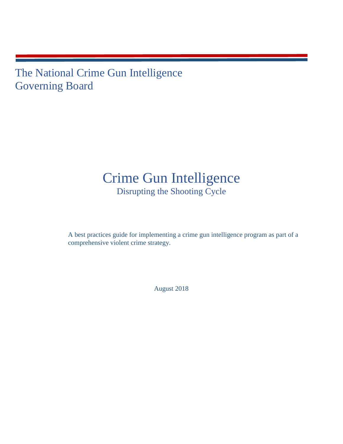The National Crime Gun Intelligence Governing Board

## Crime Gun Intelligence Disrupting the Shooting Cycle

A best practices guide for implementing a crime gun intelligence program as part of a comprehensive violent crime strategy.

August 2018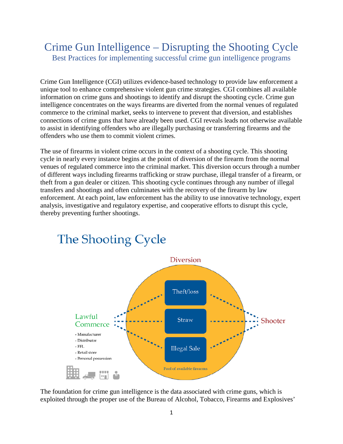### Crime Gun Intelligence – Disrupting the Shooting Cycle Best Practices for implementing successful crime gun intelligence programs

Crime Gun Intelligence (CGI) utilizes evidence-based technology to provide law enforcement a unique tool to enhance comprehensive violent gun crime strategies. CGI combines all available information on crime guns and shootings to identify and disrupt the shooting cycle. Crime gun intelligence concentrates on the ways firearms are diverted from the normal venues of regulated commerce to the criminal market, seeks to intervene to prevent that diversion, and establishes connections of crime guns that have already been used. CGI reveals leads not otherwise available to assist in identifying offenders who are illegally purchasing or transferring firearms and the offenders who use them to commit violent crimes.

The use of firearms in violent crime occurs in the context of a shooting cycle. This shooting cycle in nearly every instance begins at the point of diversion of the firearm from the normal venues of regulated commerce into the criminal market. This diversion occurs through a number of different ways including firearms trafficking or straw purchase, illegal transfer of a firearm, or theft from a gun dealer or citizen. This shooting cycle continues through any number of illegal transfers and shootings and often culminates with the recovery of the firearm by law enforcement. At each point, law enforcement has the ability to use innovative technology, expert analysis, investigative and regulatory expertise, and cooperative efforts to disrupt this cycle, thereby preventing further shootings.



## The Shooting Cycle

The foundation for crime gun intelligence is the data associated with crime guns, which is exploited through the proper use of the Bureau of Alcohol, Tobacco, Firearms and Explosives'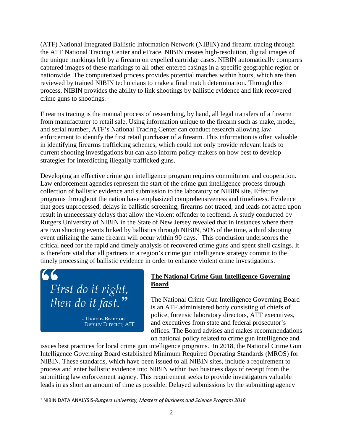(ATF) National Integrated Ballistic Information Network (NIBIN) and firearm tracing through the ATF National Tracing Center and eTrace. NIBIN creates high-resolution, digital images of the unique markings left by a firearm on expelled cartridge cases. NIBIN automatically compares captured images of these markings to all other entered casings in a specific geographic region or nationwide. The computerized process provides potential matches within hours, which are then reviewed by trained NIBIN technicians to make a final match determination. Through this process, NIBIN provides the ability to link shootings by ballistic evidence and link recovered crime guns to shootings.

Firearms tracing is the manual process of researching, by hand, all legal transfers of a firearm from manufacturer to retail sale. Using information unique to the firearm such as make, model, and serial number, ATF's National Tracing Center can conduct research allowing law enforcement to identify the first retail purchaser of a firearm. This information is often valuable in identifying firearms trafficking schemes, which could not only provide relevant leads to current shooting investigations but can also inform policy-makers on how best to develop strategies for interdicting illegally trafficked guns.

Developing an effective crime gun intelligence program requires commitment and cooperation. Law enforcement agencies represent the start of the crime gun intelligence process through collection of ballistic evidence and submission to the laboratory or NIBIN site. Effective programs throughout the nation have emphasized comprehensiveness and timeliness. Evidence that goes unprocessed, delays in ballistic screening, firearms not traced, and leads not acted upon result in unnecessary delays that allow the violent offender to reoffend. A study conducted by Rutgers University of NIBIN in the State of New Jersey revealed that in instances where there are two shooting events linked by ballistics through NIBIN, 50% of the time, a third shooting event utilizing the same firearm will occur within 90 days.<sup>[1](#page-2-0)</sup> This conclusion underscores the critical need for the rapid and timely analysis of recovered crime guns and spent shell casings. It is therefore vital that all partners in a region's crime gun intelligence strategy commit to the timely processing of ballistic evidence in order to enhance violent crime investigations.

First do it right,<br>then do it fast."

- Thomas Brandon Deputy Director, ATF

#### **The National Crime Gun Intelligence Governing Board**

The National Crime Gun Intelligence Governing Board is an ATF administered body consisting of chiefs of police, forensic laboratory directors, ATF executives, and executives from state and federal prosecutor's offices. The Board advises and makes recommendations on national policy related to crime gun intelligence and

issues best practices for local crime gun intelligence programs. In 2018, the National Crime Gun Intelligence Governing Board established Minimum Required Operating Standards (MROS) for NIBIN. These standards, which have been issued to all NIBIN sites, include a requirement to process and enter ballistic evidence into NIBIN within two business days of receipt from the submitting law enforcement agency. This requirement seeks to provide investigators valuable leads in as short an amount of time as possible. Delayed submissions by the submitting agency

<span id="page-2-0"></span> <sup>1</sup> NIBIN DATA ANALYSIS-*Rutgers University, Masters of Business and Science Program 2018*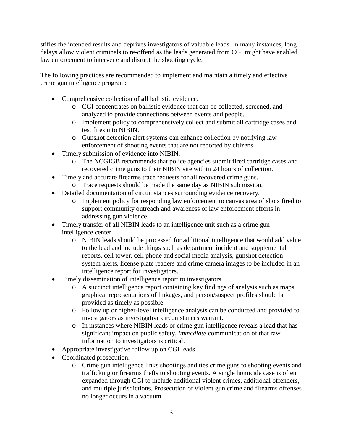stifles the intended results and deprives investigators of valuable leads. In many instances, long delays allow violent criminals to re-offend as the leads generated from CGI might have enabled law enforcement to intervene and disrupt the shooting cycle.

The following practices are recommended to implement and maintain a timely and effective crime gun intelligence program:

- Comprehensive collection of **all** ballistic evidence.
	- o CGI concentrates on ballistic evidence that can be collected, screened, and analyzed to provide connections between events and people.
	- o Implement policy to comprehensively collect and submit all cartridge cases and test fires into NIBIN.
	- o Gunshot detection alert systems can enhance collection by notifying law enforcement of shooting events that are not reported by citizens.
- Timely submission of evidence into NIBIN.
	- o The NCGIGB recommends that police agencies submit fired cartridge cases and recovered crime guns to their NIBIN site within 24 hours of collection.
- Timely and accurate firearms trace requests for all recovered crime guns.
	- o Trace requests should be made the same day as NIBIN submission.
- Detailed documentation of circumstances surrounding evidence recovery.
	- o Implement policy for responding law enforcement to canvas area of shots fired to support community outreach and awareness of law enforcement efforts in addressing gun violence.
- Timely transfer of all NIBIN leads to an intelligence unit such as a crime gun intelligence center.
	- o NIBIN leads should be processed for additional intelligence that would add value to the lead and include things such as department incident and supplemental reports, cell tower, cell phone and social media analysis, gunshot detection system alerts, license plate readers and crime camera images to be included in an intelligence report for investigators.
- Timely dissemination of intelligence report to investigators.
	- o A succinct intelligence report containing key findings of analysis such as maps, graphical representations of linkages, and person/suspect profiles should be provided as timely as possible.
	- o Follow up or higher-level intelligence analysis can be conducted and provided to investigators as investigative circumstances warrant.
	- o In instances where NIBIN leads or crime gun intelligence reveals a lead that has significant impact on public safety, *immediate* communication of that raw information to investigators is critical.
- Appropriate investigative follow up on CGI leads.
- Coordinated prosecution.
	- o Crime gun intelligence links shootings and ties crime guns to shooting events and trafficking or firearms thefts to shooting events. A single homicide case is often expanded through CGI to include additional violent crimes, additional offenders, and multiple jurisdictions. Prosecution of violent gun crime and firearms offenses no longer occurs in a vacuum.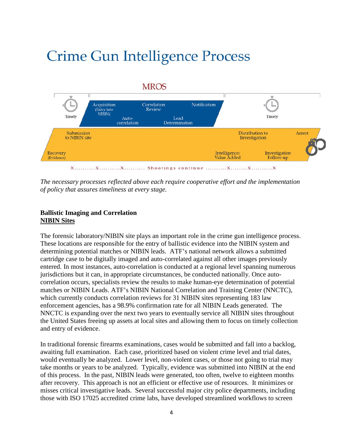# Crime Gun Intelligence Process



*The necessary processes reflected above each require cooperative effort and the implementation of policy that assures timeliness at every stage.* 

#### **Ballistic Imaging and Correlation NIBIN Sites**

The forensic laboratory/NIBIN site plays an important role in the crime gun intelligence process. These locations are responsible for the entry of ballistic evidence into the NIBIN system and determining potential matches or NIBIN leads. ATF's national network allows a submitted cartridge case to be digitally imaged and auto-correlated against all other images previously entered. In most instances, auto-correlation is conducted at a regional level spanning numerous jurisdictions but it can, in appropriate circumstances, be conducted nationally. Once autocorrelation occurs, specialists review the results to make human-eye determination of potential matches or NIBIN Leads. ATF's NIBIN National Correlation and Training Center (NNCTC), which currently conducts correlation reviews for 31 NIBIN sites representing 183 law enforcement agencies, has a 98.9% confirmation rate for all NIBIN Leads generated. The NNCTC is expanding over the next two years to eventually service all NIBIN sites throughout the United States freeing up assets at local sites and allowing them to focus on timely collection and entry of evidence.

In traditional forensic firearms examinations, cases would be submitted and fall into a backlog, awaiting full examination. Each case, prioritized based on violent crime level and trial dates, would eventually be analyzed. Lower level, non-violent cases, or those not going to trial may take months or years to be analyzed. Typically, evidence was submitted into NIBIN at the end of this process. In the past, NIBIN leads were generated, too often, twelve to eighteen months after recovery. This approach is not an efficient or effective use of resources. It minimizes or misses critical investigative leads. Several successful major city police departments, including those with ISO 17025 accredited crime labs, have developed streamlined workflows to screen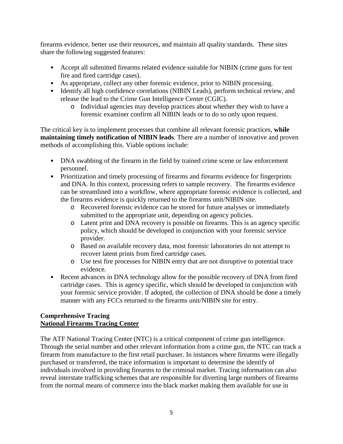firearms evidence, better use their resources, and maintain all quality standards. These sites share the following suggested features:

- Accept all submitted firearms related evidence suitable for NIBIN (crime guns for test fire and fired cartridge cases).
- As appropriate, collect any other forensic evidence, prior to NIBIN processing.
- Identify all high confidence correlations (NIBIN Leads), perform technical review, and release the lead to the Crime Gun Intelligence Center (CGIC).
	- o Individual agencies may develop practices about whether they wish to have a forensic examiner confirm all NIBIN leads or to do so only upon request.

The critical key is to implement processes that combine all relevant forensic practices, **while maintaining timely notification of NIBIN leads**. There are a number of innovative and proven methods of accomplishing this. Viable options include:

- DNA swabbing of the firearm in the field by trained crime scene or law enforcement personnel.
- Prioritization and timely processing of firearms and firearms evidence for fingerprints and DNA. In this context, processing refers to sample recovery. The firearms evidence can be streamlined into a workflow, where appropriate forensic evidence is collected, and the firearms evidence is quickly returned to the firearms unit/NIBIN site.
	- o Recovered forensic evidence can be stored for future analyses or immediately submitted to the appropriate unit, depending on agency policies.
	- o Latent print and DNA recovery is possible on firearms. This is an agency specific policy, which should be developed in conjunction with your forensic service provider.
	- o Based on available recovery data, most forensic laboratories do not attempt to recover latent prints from fired cartridge cases.
	- o Use test fire processes for NIBIN entry that are not disruptive to potential trace evidence.
- Recent advances in DNA technology allow for the possible recovery of DNA from fired cartridge cases. This is agency specific, which should be developed in conjunction with your forensic service provider. If adopted, the collection of DNA should be done a timely manner with any FCCs returned to the firearms unit/NIBIN site for entry.

#### **Comprehensive Tracing National Firearms Tracing Center**

The ATF National Tracing Center (NTC) is a critical component of crime gun intelligence. Through the serial number and other relevant information from a crime gun, the NTC can track a firearm from manufacture to the first retail purchaser. In instances where firearms were illegally purchased or transferred, the trace information is important to determine the identify of individuals involved in providing firearms to the criminal market. Tracing information can also reveal interstate trafficking schemes that are responsible for diverting large numbers of firearms from the normal means of commerce into the black market making them available for use in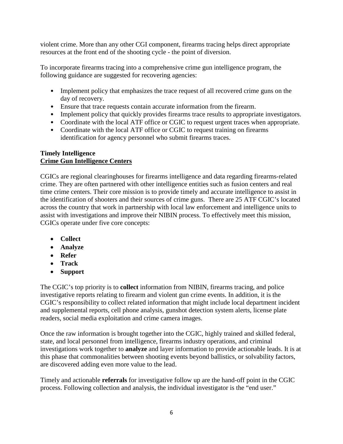violent crime. More than any other CGI component, firearms tracing helps direct appropriate resources at the front end of the shooting cycle - the point of diversion.

To incorporate firearms tracing into a comprehensive crime gun intelligence program, the following guidance are suggested for recovering agencies:

- Implement policy that emphasizes the trace request of all recovered crime guns on the day of recovery.
- Ensure that trace requests contain accurate information from the firearm.
- Implement policy that quickly provides firearms trace results to appropriate investigators.
- Coordinate with the local ATF office or CGIC to request urgent traces when appropriate.
- Coordinate with the local ATF office or CGIC to request training on firearms identification for agency personnel who submit firearms traces.

#### **Timely Intelligence Crime Gun Intelligence Centers**

CGICs are regional clearinghouses for firearms intelligence and data regarding firearms-related crime. They are often partnered with other intelligence entities such as fusion centers and real time crime centers. Their core mission is to provide timely and accurate intelligence to assist in the identification of shooters and their sources of crime guns. There are 25 ATF CGIC's located across the country that work in partnership with local law enforcement and intelligence units to assist with investigations and improve their NIBIN process. To effectively meet this mission, CGICs operate under five core concepts:

- **Collect**
- **Analyze**
- **Refer**
- **Track**
- **Support**

The CGIC's top priority is to **collect** information from NIBIN, firearms tracing, and police investigative reports relating to firearm and violent gun crime events. In addition, it is the CGIC's responsibility to collect related information that might include local department incident and supplemental reports, cell phone analysis, gunshot detection system alerts, license plate readers, social media exploitation and crime camera images.

Once the raw information is brought together into the CGIC, highly trained and skilled federal, state, and local personnel from intelligence, firearms industry operations, and criminal investigations work together to **analyze** and layer information to provide actionable leads. It is at this phase that commonalities between shooting events beyond ballistics, or solvability factors, are discovered adding even more value to the lead.

Timely and actionable **referrals** for investigative follow up are the hand-off point in the CGIC process. Following collection and analysis, the individual investigator is the "end user."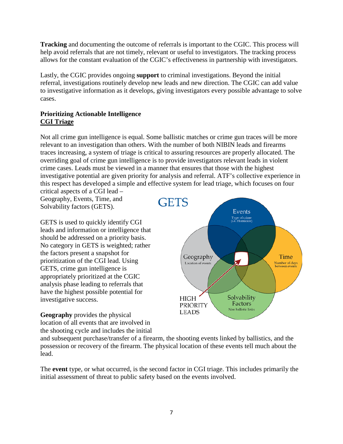**Tracking** and documenting the outcome of referrals is important to the CGIC. This process will help avoid referrals that are not timely, relevant or useful to investigators. The tracking process allows for the constant evaluation of the CGIC's effectiveness in partnership with investigators.

Lastly, the CGIC provides ongoing **support** to criminal investigations. Beyond the initial referral, investigations routinely develop new leads and new direction. The CGIC can add value to investigative information as it develops, giving investigators every possible advantage to solve cases.

#### **Prioritizing Actionable Intelligence CGI Triage**

Not all crime gun intelligence is equal. Some ballistic matches or crime gun traces will be more relevant to an investigation than others. With the number of both NIBIN leads and firearms traces increasing, a system of triage is critical to assuring resources are properly allocated. The overriding goal of crime gun intelligence is to provide investigators relevant leads in violent crime cases. Leads must be viewed in a manner that ensures that those with the highest investigative potential are given priority for analysis and referral. ATF's collective experience in this respect has developed a simple and effective system for lead triage, which focuses on four

critical aspects of a CGI lead – Geography, Events, Time, and Solvability factors (GETS).

GETS is used to quickly identify CGI leads and information or intelligence that should be addressed on a priority basis. No category in GETS is weighted; rather the factors present a snapshot for prioritization of the CGI lead. Using GETS, crime gun intelligence is appropriately prioritized at the CGIC analysis phase leading to referrals that have the highest possible potential for investigative success.

**Geography** provides the physical location of all events that are involved in the shooting cycle and includes the initial



and subsequent purchase/transfer of a firearm, the shooting events linked by ballistics, and the possession or recovery of the firearm. The physical location of these events tell much about the lead.

The **event** type, or what occurred, is the second factor in CGI triage. This includes primarily the initial assessment of threat to public safety based on the events involved.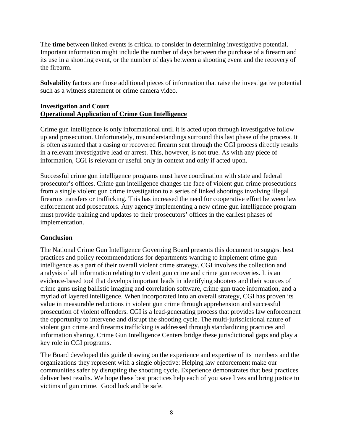The **time** between linked events is critical to consider in determining investigative potential. Important information might include the number of days between the purchase of a firearm and its use in a shooting event, or the number of days between a shooting event and the recovery of the firearm.

**Solvability** factors are those additional pieces of information that raise the investigative potential such as a witness statement or crime camera video.

#### **Investigation and Court Operational Application of Crime Gun Intelligence**

Crime gun intelligence is only informational until it is acted upon through investigative follow up and prosecution. Unfortunately, misunderstandings surround this last phase of the process. It is often assumed that a casing or recovered firearm sent through the CGI process directly results in a relevant investigative lead or arrest. This, however, is not true. As with any piece of information, CGI is relevant or useful only in context and only if acted upon.

Successful crime gun intelligence programs must have coordination with state and federal prosecutor's offices. Crime gun intelligence changes the face of violent gun crime prosecutions from a single violent gun crime investigation to a series of linked shootings involving illegal firearms transfers or trafficking. This has increased the need for cooperative effort between law enforcement and prosecutors. Any agency implementing a new crime gun intelligence program must provide training and updates to their prosecutors' offices in the earliest phases of implementation.

#### **Conclusion**

The National Crime Gun Intelligence Governing Board presents this document to suggest best practices and policy recommendations for departments wanting to implement crime gun intelligence as a part of their overall violent crime strategy. CGI involves the collection and analysis of all information relating to violent gun crime and crime gun recoveries. It is an evidence-based tool that develops important leads in identifying shooters and their sources of crime guns using ballistic imaging and correlation software, crime gun trace information, and a myriad of layered intelligence. When incorporated into an overall strategy, CGI has proven its value in measurable reductions in violent gun crime through apprehension and successful prosecution of violent offenders. CGI is a lead-generating process that provides law enforcement the opportunity to intervene and disrupt the shooting cycle. The multi-jurisdictional nature of violent gun crime and firearms trafficking is addressed through standardizing practices and information sharing. Crime Gun Intelligence Centers bridge these jurisdictional gaps and play a key role in CGI programs.

The Board developed this guide drawing on the experience and expertise of its members and the organizations they represent with a single objective: Helping law enforcement make our communities safer by disrupting the shooting cycle. Experience demonstrates that best practices deliver best results. We hope these best practices help each of you save lives and bring justice to victims of gun crime. Good luck and be safe.